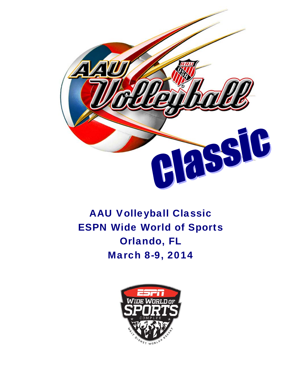

## AAU Volleyball Classic ESPN Wide World of Sports Orlando, FL March 8-9, 2014

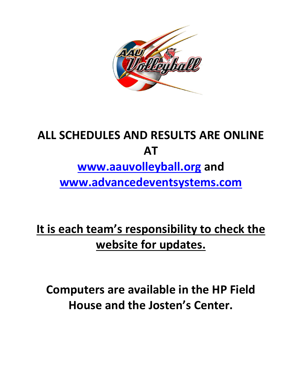

# **ALL SCHEDULES AND RESULTS ARE ONLINE AT www.aauvolleyball.org and www.advancedeventsystems.com**

# **It is each team's responsibility to check the website for updates.**

**Computers are available in the HP Field House and the Josten's Center.**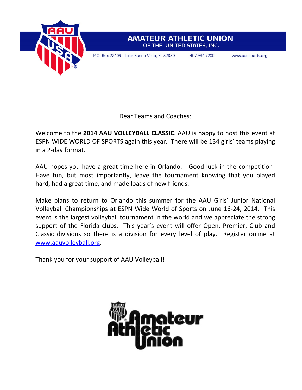

#### **AMATEUR ATHLETIC UNION** OF THE UNITED STATES, INC.

P.O. Box 22409 Lake Buena Vista, FL 32830

407.934.7200

www.aausports.org

Dear Teams and Coaches:

Welcome to the **2014 AAU VOLLEYBALL CLASSIC**. AAU is happy to host this event at ESPN WIDE WORLD OF SPORTS again this year. There will be 134 girls' teams playing in a 2‐day format.

AAU hopes you have a great time here in Orlando. Good luck in the competition! Have fun, but most importantly, leave the tournament knowing that you played hard, had a great time, and made loads of new friends.

Make plans to return to Orlando this summer for the AAU Girls' Junior National Volleyball Championships at ESPN Wide World of Sports on June 16‐24, 2014. This event is the largest volleyball tournament in the world and we appreciate the strong support of the Florida clubs. This year's event will offer Open, Premier, Club and Classic divisions so there is a division for every level of play. Register online at www.aauvolleyball.org.

Thank you for your support of AAU Volleyball!

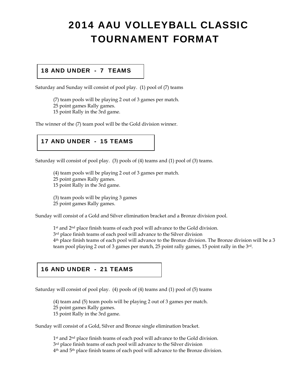## 2014 AAU VOLLEYBALL CLASSIC TOURNAMENT FORMAT

#### 18 AND UNDER - 7 TEAMS

Saturday and Sunday will consist of pool play. (1) pool of (7) teams

(7) team pools will be playing 2 out of 3 games per match.

25 point games Rally games.

15 point Rally in the 3rd game.

The winner of the (7) team pool will be the Gold division winner.

#### 17 AND UNDER - 15 TEAMS

Saturday will consist of pool play. (3) pools of (4) teams and (1) pool of (3) teams.

(4) team pools will be playing 2 out of 3 games per match. 25 point games Rally games. 15 point Rally in the 3rd game.

(3) team pools will be playing 3 games 25 point games Rally games.

Sunday will consist of a Gold and Silver elimination bracket and a Bronze division pool.

1<sup>st</sup> and 2<sup>nd</sup> place finish teams of each pool will advance to the Gold division. 3<sup>rd</sup> place finish teams of each pool will advance to the Silver division 4th place finish teams of each pool will advance to the Bronze division. The Bronze division will be a 3 team pool playing 2 out of 3 games per match, 25 point rally games, 15 point rally in the 3rd.

#### 16 AND UNDER - 21 TEAMS

Saturday will consist of pool play. (4) pools of (4) teams and (1) pool of (5) teams

(4) team and (5) team pools will be playing 2 out of 3 games per match. 25 point games Rally games. 15 point Rally in the 3rd game.

Sunday will consist of a Gold, Silver and Bronze single elimination bracket.

1<sup>st</sup> and 2<sup>nd</sup> place finish teams of each pool will advance to the Gold division. 3<sup>rd</sup> place finish teams of each pool will advance to the Silver division 4th and 5th place finish teams of each pool will advance to the Bronze division.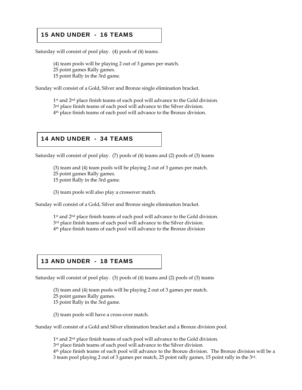#### 15 AND UNDER - 16 TEAMS

Saturday will consist of pool play. (4) pools of (4) teams.

(4) team pools will be playing 2 out of 3 games per match. 25 point games Rally games. 15 point Rally in the 3rd game.

Sunday will consist of a Gold, Silver and Bronze single elimination bracket.

1<sup>st</sup> and 2<sup>nd</sup> place finish teams of each pool will advance to the Gold division. 3<sup>rd</sup> place finish teams of each pool will advance to the Silver division. 4th place finish teams of each pool will advance to the Bronze division.

#### 14 AND UNDER - 34 TEAMS

Saturday will consist of pool play. (7) pools of (4) teams and (2) pools of (3) teams

(3) team and (4) team pools will be playing 2 out of 3 games per match. 25 point games Rally games. 15 point Rally in the 3rd game.

(3) team pools will also play a crossover match.

Sunday will consist of a Gold, Silver and Bronze single elimination bracket.

1<sup>st</sup> and 2<sup>nd</sup> place finish teams of each pool will advance to the Gold division. 3<sup>rd</sup> place finish teams of each pool will advance to the Silver division. 4th place finish teams of each pool will advance to the Bronze division

#### 13 AND UNDER - 18 TEAMS

Saturday will consist of pool play. (3) pools of (4) teams and (2) pools of (3) teams

(3) team and (4) team pools will be playing 2 out of 3 games per match. 25 point games Rally games. 15 point Rally in the 3rd game.

(3) team pools will have a cross-over match.

Sunday will consist of a Gold and Silver elimination bracket and a Bronze division pool.

1<sup>st</sup> and 2<sup>nd</sup> place finish teams of each pool will advance to the Gold division.

3<sup>rd</sup> place finish teams of each pool will advance to the Silver division.

4th place finish teams of each pool will advance to the Bronze division. The Bronze division will be a 3 team pool playing 2 out of 3 games per match, 25 point rally games, 15 point rally in the 3rd.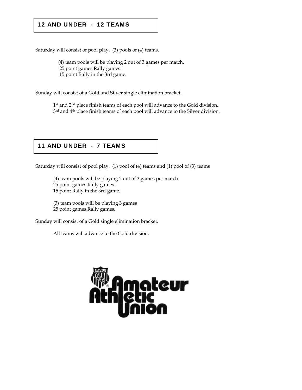#### 12 AND UNDER - 12 TEAMS

Saturday will consist of pool play. (3) pools of (4) teams.

 (4) team pools will be playing 2 out of 3 games per match. 25 point games Rally games.

15 point Rally in the 3rd game.

Sunday will consist of a Gold and Silver single elimination bracket.

1<sup>st</sup> and 2<sup>nd</sup> place finish teams of each pool will advance to the Gold division. 3<sup>rd</sup> and 4<sup>th</sup> place finish teams of each pool will advance to the Silver division.

#### 11 AND UNDER - 7 TEAMS

Saturday will consist of pool play. (1) pool of (4) teams and (1) pool of (3) teams

(4) team pools will be playing 2 out of 3 games per match. 25 point games Rally games. 15 point Rally in the 3rd game.

 (3) team pools will be playing 3 games 25 point games Rally games.

Sunday will consist of a Gold single elimination bracket.

All teams will advance to the Gold division.

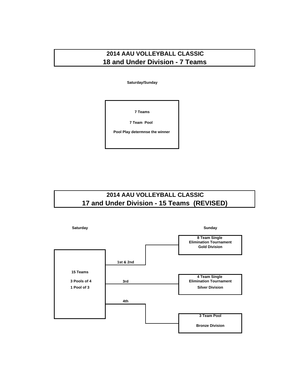#### **2014 AAU VOLLEYBALL CLASSIC 18 and Under Division - 7 Teams**

**Saturday/Sunday**

**7 Teams**

**7 Team Pool** 

**Pool Play determnse the winner** 

#### **2014 AAU VOLLEYBALL CLASSIC 17 and Under Division - 15 Teams (REVISED)**

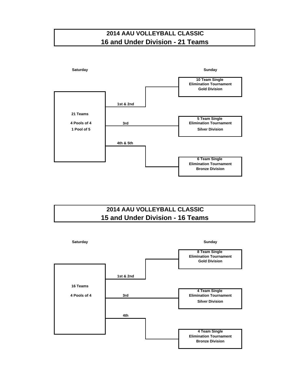#### **2014 AAU VOLLEYBALL CLASSIC 16 and Under Division - 21 Teams**



#### **2014 AAU VOLLEYBALL CLASSIC 15 and Under Division - 16 Teams**

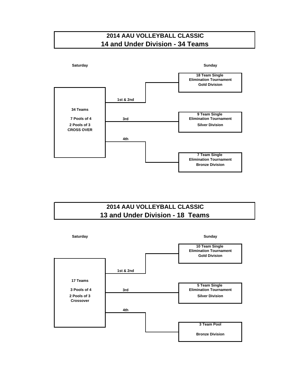



#### **2014 AAU VOLLEYBALL CLASSIC 13 and Under Division - 18 Teams**

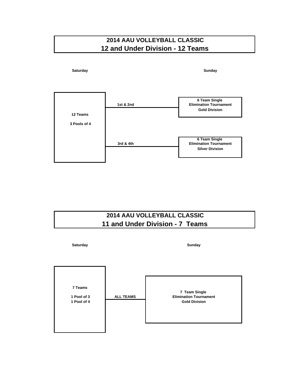#### **2014 AAU VOLLEYBALL CLASSIC 12 and Under Division - 12 Teams**



#### **2014 AAU VOLLEYBALL CLASSIC 11 and Under Division - 7 Teams**

| Saturday                              |                  | Sunday                                                                 |
|---------------------------------------|------------------|------------------------------------------------------------------------|
| 7 Teams<br>1 Pool of 3<br>1 Pool of 4 | <b>ALL TEAMS</b> | 7 Team Single<br><b>Elimination Tournament</b><br><b>Gold Division</b> |
|                                       |                  |                                                                        |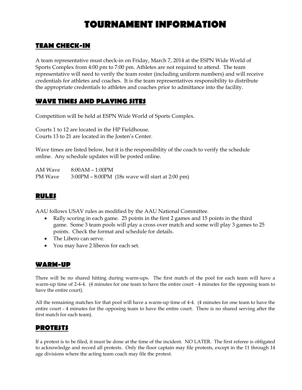### **TOURNAMENT INFORMATION**

#### **TEAM CHECK-IN**

A team representative must check-in on Friday, March 7, 2014 at the ESPN Wide World of Sports Complex from 4:00 pm to 7:00 pm. Athletes are not required to attend. The team representative will need to verify the team roster (including uniform numbers) and will receive credentials for athletes and coaches. It is the team representatives responsibility to distribute the appropriate credentials to athletes and coaches prior to admittance into the facility.

#### **WAVE TIMES AND PLAYING SITES**

Competition will be held at ESPN Wide World of Sports Complex.

Courts 1 to 12 are located in the HP Fieldhouse. Courts 13 to 21 are located in the Josten's Center.

Wave times are listed below, but it is the responsibility of the coach to verify the schedule online. Any schedule updates will be posted online.

AM Wave 8:00AM – 1:00PM PM Wave 3:00PM – 8:00PM (18s wave will start at 2:00 pm)

#### **RULES**

AAU follows USAV rules as modified by the AAU National Committee.

- Rally scoring in each game. 25 points in the first 2 games and 15 points in the third game. Some 3 team pools will play a cross over match and some will play 3 games to 25 points. Check the format and schedule for details.
- The Libero can serve.
- You may have 2 liberos for each set.

#### **WARM-UP**

There will be no shared hitting during warm-ups. The first match of the pool for each team will have a warm-up time of 2-4-4. (4 minutes for one team to have the entire court - 4 minutes for the opposing team to have the entire court).

All the remaining matches for that pool will have a warm-up time of 4-4. (4 minutes for one team to have the entire court - 4 minutes for the opposing team to have the entire court. There is no shared serving after the first match for each team).

#### **PROTESTS**

If a protest is to be filed, it must be done at the time of the incident. NO LATER. The first referee is obligated to acknowledge and record all protests. Only the floor captain may file protests, except in the 11 through 14 age divisions where the acting team coach may file the protest.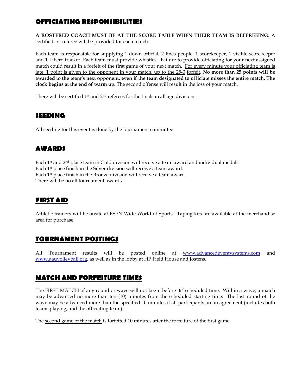#### **OFFICIATING RESPONSIBILITIES**

#### **A ROSTERED COACH MUST BE AT THE SCORE TABLE WHEN THEIR TEAM IS REFEREEING**. A certified 1st referee will be provided for each match.

Each team is responsible for supplying 1 down official, 2 lines people, 1 scorekeeper, 1 visible scorekeeper and 1 Libero tracker. Each team must provide whistles. Failure to provide officiating for your next assigned match could result in a forfeit of the first game of your next match. For every minute your officiating team is late, 1 point is given to the opponent in your match, up to the 25-0 forfeit**. No more than 25 points will be awarded to the team's next opponent, even if the team designated to officiate misses the entire match. The clock begins at the end of warm up.** The second offense will result in the loss of your match.

There will be certified 1<sup>st</sup> and 2<sup>nd</sup> referees for the finals in all age divisions.

#### **SEEDING**

All seeding for this event is done by the tournament committee.

#### **AWARDS**

Each 1st and 2nd place team in Gold division will receive a team award and individual medals. Each 1st place finish in the Silver division will receive a team award. Each 1st place finish in the Bronze division will receive a team award. There will be no all tournament awards.

#### **FIRST AID**

Athletic trainers will be onsite at ESPN Wide World of Sports. Taping kits are available at the merchandise area for purchase.

#### **TOURNAMENT POSTINGS**

All Tournament results will be posted online at www.advancedeventysystems.com and www.aauvolleyball.org, as well as in the lobby at HP Field House and Jostens.

#### **MATCH AND FORFEITURE TIMES**

The FIRST MATCH of any round or wave will not begin before its' scheduled time. Within a wave, a match may be advanced no more than ten (10) minutes from the scheduled starting time. The last round of the wave may be advanced more than the specified 10 minutes if all participants are in agreement (includes both teams playing, and the officiating team).

The second game of the match is forfeited 10 minutes after the forfeiture of the first game.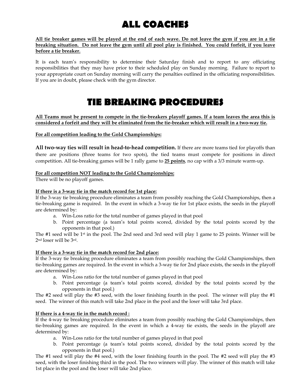## **ALL COACHES**

**All tie breaker games will be played at the end of each wave. Do not leave the gym if you are in a tie breaking situation. Do not leave the gym until all pool play is finished. You could forfeit, if you leave before a tie breaker.**

It is each team's responsibility to determine their Saturday finish and to report to any officiating responsibilities that they may have prior to their scheduled play on Sunday morning. Failure to report to your appropriate court on Sunday morning will carry the penalties outlined in the officiating responsibilities. If you are in doubt, please check with the gym director.

### **TIE BREAKING PROCEDURES**

**All Teams must be present to compete in the tie-breakers playoff games. If a team leaves the area this is considered a forfeit and they will be eliminated from the tie-breaker which will result in a two-way tie.** 

**For all competition leading to the Gold Championships:** 

**All two‐way ties will result in head‐to‐head competition.** If there are more teams tied for playoffs than there are positions (three teams for two spots), the tied teams must compete for positions in direct competition. All tie‐breaking games will be 1 rally game to **25 points**, no cap with a 3/3 minute warm‐up.

#### **For all competition NOT leading to the Gold Championships:**

There will be no playoff games.

#### **If there is a 3-way tie in the match record for 1st place:**

If the 3-way tie breaking procedure eliminates a team from possibly reaching the Gold Championships, then a tie-breaking game is required. In the event in which a 3-way tie for 1st place exists, the seeds in the playoff are determined by:

- a. Win-Loss ratio for the total number of games played in that pool
- b. Point percentage (a team's total points scored, divided by the total points scored by the opponents in that pool.)

The #1 seed will be 1st in the pool. The 2nd seed and 3rd seed will play 1 game to 25 points. Winner will be 2nd loser will be 3rd.

#### **If there is a 3-way tie in the match record for 2nd place:**

If the 3-way tie breaking procedure eliminates a team from possibly reaching the Gold Championships, then tie-breaking games are required. In the event in which a 3-way tie for 2nd place exists, the seeds in the playoff are determined by:

- a. Win-Loss ratio for the total number of games played in that pool
- b. Point percentage (a team's total points scored, divided by the total points scored by the opponents in that pool.)

The #2 seed will play the #3 seed, with the loser finishing fourth in the pool. The winner will play the #1 seed. The winner of this match will take 2nd place in the pool and the loser will take 3rd place.

#### **If there is a 4-way tie in the match record :**

If the 4-way tie breaking procedure eliminates a team from possibly reaching the Gold Championships, then tie-breaking games are required. In the event in which a 4-way tie exists, the seeds in the playoff are determined by:

- a. Win-Loss ratio for the total number of games played in that pool
- b. Point percentage (a team's total points scored, divided by the total points scored by the opponents in that pool.)

The #1 seed will play the #4 seed, with the loser finishing fourth in the pool. The #2 seed will play the #3 seed, with the loser finishing third in the pool. The two winners will play. The winner of this match will take 1st place in the pool and the loser will take 2nd place.